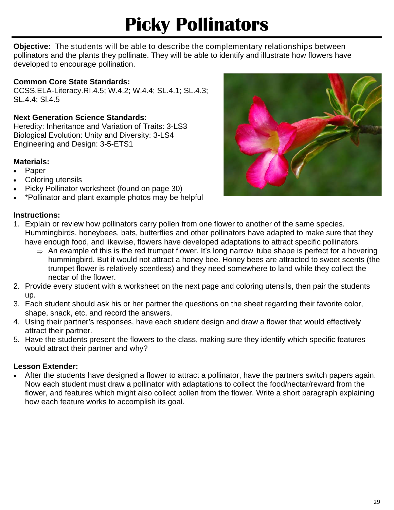# **Picky Pollinators**

**Objective:** The students will be able to describe the complementary relationships between pollinators and the plants they pollinate. They will be able to identify and illustrate how flowers have developed to encourage pollination.

#### **Common Core State Standards:**

CCSS.ELA-Literacy.RI.4.5; W.4.2; W.4.4; SL.4.1; SL.4.3; SL.4.4; Sl.4.5

#### **Next Generation Science Standards:**

Heredity: Inheritance and Variation of Traits: 3-LS3 Biological Evolution: Unity and Diversity: 3-LS4 Engineering and Design: 3-5-ETS1

#### **Materials:**

- Paper
- Coloring utensils
- Picky Pollinator worksheet (found on page 30)
- \*Pollinator and plant example photos may be helpful

### **Instructions:**

- 1. Explain or review how pollinators carry pollen from one flower to another of the same species. Hummingbirds, honeybees, bats, butterflies and other pollinators have adapted to make sure that they have enough food, and likewise, flowers have developed adaptations to attract specific pollinators.
	- $\Rightarrow$  An example of this is the red trumpet flower. It's long narrow tube shape is perfect for a hovering hummingbird. But it would not attract a honey bee. Honey bees are attracted to sweet scents (the trumpet flower is relatively scentless) and they need somewhere to land while they collect the nectar of the flower.
- 2. Provide every student with a worksheet on the next page and coloring utensils, then pair the students up.
- 3. Each student should ask his or her partner the questions on the sheet regarding their favorite color, shape, snack, etc. and record the answers.
- 4. Using their partner's responses, have each student design and draw a flower that would effectively attract their partner.
- 5. Have the students present the flowers to the class, making sure they identify which specific features would attract their partner and why?

#### **Lesson Extender:**

 After the students have designed a flower to attract a pollinator, have the partners switch papers again. Now each student must draw a pollinator with adaptations to collect the food/nectar/reward from the flower, and features which might also collect pollen from the flower. Write a short paragraph explaining how each feature works to accomplish its goal.